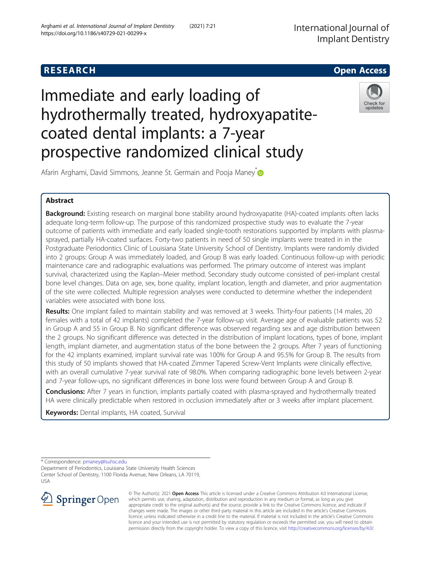# **RESEARCH CHE Open Access**

# Immediate and early loading of hydrothermally treated, hydroxyapatitecoated dental implants: a 7-year prospective randomized clinical study



Afarin Arghami, David Simmons, Jeanne St. Germain and Pooja Maney<sup>\*</sup>

# Abstract

Background: Existing research on marginal bone stability around hydroxyapatite (HA)-coated implants often lacks adequate long-term follow-up. The purpose of this randomized prospective study was to evaluate the 7-year outcome of patients with immediate and early loaded single-tooth restorations supported by implants with plasmasprayed, partially HA-coated surfaces. Forty-two patients in need of 50 single implants were treated in in the Postgraduate Periodontics Clinic of Louisiana State University School of Dentistry. Implants were randomly divided into 2 groups: Group A was immediately loaded, and Group B was early loaded. Continuous follow-up with periodic maintenance care and radiographic evaluations was performed. The primary outcome of interest was implant survival, characterized using the Kaplan–Meier method. Secondary study outcome consisted of peri-implant crestal bone level changes. Data on age, sex, bone quality, implant location, length and diameter, and prior augmentation of the site were collected. Multiple regression analyses were conducted to determine whether the independent variables were associated with bone loss.

Results: One implant failed to maintain stability and was removed at 3 weeks. Thirty-four patients (14 males, 20 females with a total of 42 implants) completed the 7-year follow-up visit. Average age of evaluable patients was 52 in Group A and 55 in Group B. No significant difference was observed regarding sex and age distribution between the 2 groups. No significant difference was detected in the distribution of implant locations, types of bone, implant length, implant diameter, and augmentation status of the bone between the 2 groups. After 7 years of functioning for the 42 implants examined, implant survival rate was 100% for Group A and 95.5% for Group B. The results from this study of 50 implants showed that HA-coated Zimmer Tapered Screw-Vent Implants were clinically effective, with an overall cumulative 7-year survival rate of 98.0%. When comparing radiographic bone levels between 2-year and 7-year follow-ups, no significant differences in bone loss were found between Group A and Group B.

Conclusions: After 7 years in function, implants partially coated with plasma-sprayed and hydrothermally treated HA were clinically predictable when restored in occlusion immediately after or 3 weeks after implant placement.

Keywords: Dental implants, HA coated, Survival

\* Correspondence: [pmaney@lsuhsc.edu](mailto:pmaney@lsuhsc.edu)

Department of Periodontics, Louisiana State University Health Sciences Center School of Dentistry, 1100 Florida Avenue, New Orleans, LA 70119, USA



© The Author(s). 2021 Open Access This article is licensed under a Creative Commons Attribution 4.0 International License, which permits use, sharing, adaptation, distribution and reproduction in any medium or format, as long as you give appropriate credit to the original author(s) and the source, provide a link to the Creative Commons licence, and indicate if changes were made. The images or other third party material in this article are included in the article's Creative Commons licence, unless indicated otherwise in a credit line to the material. If material is not included in the article's Creative Commons licence and your intended use is not permitted by statutory regulation or exceeds the permitted use, you will need to obtain permission directly from the copyright holder. To view a copy of this licence, visit <http://creativecommons.org/licenses/by/4.0/>.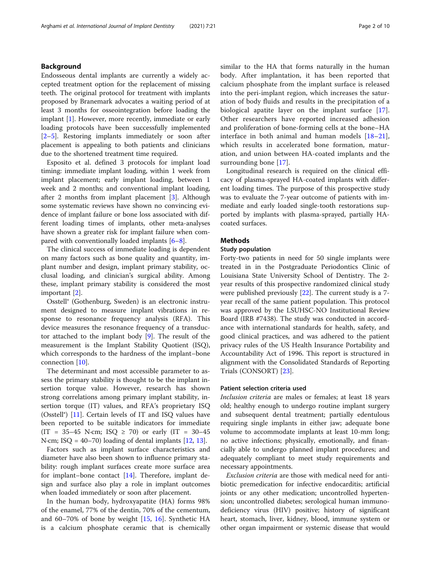### Background

Endosseous dental implants are currently a widely accepted treatment option for the replacement of missing teeth. The original protocol for treatment with implants proposed by Branemark advocates a waiting period of at least 3 months for osseointegration before loading the implant [[1\]](#page-8-0). However, more recently, immediate or early loading protocols have been successfully implemented [[2](#page-8-0)–[5\]](#page-8-0). Restoring implants immediately or soon after placement is appealing to both patients and clinicians due to the shortened treatment time required.

Esposito et al. defined 3 protocols for implant load timing: immediate implant loading, within 1 week from implant placement; early implant loading, between 1 week and 2 months; and conventional implant loading, after 2 months from implant placement [[3\]](#page-8-0). Although some systematic reviews have shown no convincing evidence of implant failure or bone loss associated with different loading times of implants, other meta-analyses have shown a greater risk for implant failure when compared with conventionally loaded implants [[6](#page-8-0)–[8\]](#page-8-0).

The clinical success of immediate loading is dependent on many factors such as bone quality and quantity, implant number and design, implant primary stability, occlusal loading, and clinician's surgical ability. Among these, implant primary stability is considered the most important [[2\]](#page-8-0).

Osstell® (Gothenburg, Sweden) is an electronic instrument designed to measure implant vibrations in response to resonance frequency analysis (RFA). This device measures the resonance frequency of a transductor attached to the implant body [[9\]](#page-8-0). The result of the measurement is the Implant Stability Quotient (ISQ), which corresponds to the hardness of the implant–bone connection [\[10](#page-8-0)].

The determinant and most accessible parameter to assess the primary stability is thought to be the implant insertion torque value. However, research has shown strong correlations among primary implant stability, insertion torque (IT) values, and RFA's proprietary ISQ (Osstell®) [[11\]](#page-8-0). Certain levels of IT and ISQ values have been reported to be suitable indicators for immediate  $(IT = 35-45 \text{ N} \cdot \text{cm}; \text{ ISO } \geq 70) \text{ or early } (IT = 30-45)$ N·cm; ISQ = 40–70) loading of dental implants  $[12, 13]$  $[12, 13]$  $[12, 13]$  $[12, 13]$ .

Factors such as implant surface characteristics and diameter have also been shown to influence primary stability: rough implant surfaces create more surface area for implant–bone contact  $[14]$  $[14]$  $[14]$ . Therefore, implant design and surface also play a role in implant outcomes when loaded immediately or soon after placement.

In the human body, hydroxyapatite (HA) forms 98% of the enamel, 77% of the dentin, 70% of the cementum, and  $60-70\%$  of bone by weight  $[15, 16]$  $[15, 16]$  $[15, 16]$  $[15, 16]$ . Synthetic HA is a calcium phosphate ceramic that is chemically similar to the HA that forms naturally in the human body. After implantation, it has been reported that calcium phosphate from the implant surface is released into the peri-implant region, which increases the saturation of body fluids and results in the precipitation of a biological apatite layer on the implant surface [\[17](#page-9-0)]. Other researchers have reported increased adhesion and proliferation of bone-forming cells at the bone–HA interface in both animal and human models  $[18-21]$  $[18-21]$  $[18-21]$  $[18-21]$ , which results in accelerated bone formation, maturation, and union between HA-coated implants and the surrounding bone [\[17](#page-9-0)].

Longitudinal research is required on the clinical efficacy of plasma-sprayed HA-coated implants with different loading times. The purpose of this prospective study was to evaluate the 7-year outcome of patients with immediate and early loaded single-tooth restorations supported by implants with plasma-sprayed, partially HAcoated surfaces.

#### **Methods**

#### Study population

Forty-two patients in need for 50 single implants were treated in in the Postgraduate Periodontics Clinic of Louisiana State University School of Dentistry. The 2 year results of this prospective randomized clinical study were published previously [\[22](#page-9-0)]. The current study is a 7 year recall of the same patient population. This protocol was approved by the LSUHSC-NO Institutional Review Board (IRB #7438). The study was conducted in accordance with international standards for health, safety, and good clinical practices, and was adhered to the patient privacy rules of the US Health Insurance Portability and Accountability Act of 1996. This report is structured in alignment with the Consolidated Standards of Reporting Trials (CONSORT) [[23](#page-9-0)].

#### Patient selection criteria used

Inclusion criteria are males or females; at least 18 years old; healthy enough to undergo routine implant surgery and subsequent dental treatment; partially edentulous requiring single implants in either jaw; adequate bone volume to accommodate implants at least 10-mm long; no active infections; physically, emotionally, and financially able to undergo planned implant procedures; and adequately compliant to meet study requirements and necessary appointments.

Exclusion criteria are those with medical need for antibiotic premedication for infective endocarditis; artificial joints or any other medication; uncontrolled hypertension; uncontrolled diabetes; serological human immunodeficiency virus (HIV) positive; history of significant heart, stomach, liver, kidney, blood, immune system or other organ impairment or systemic disease that would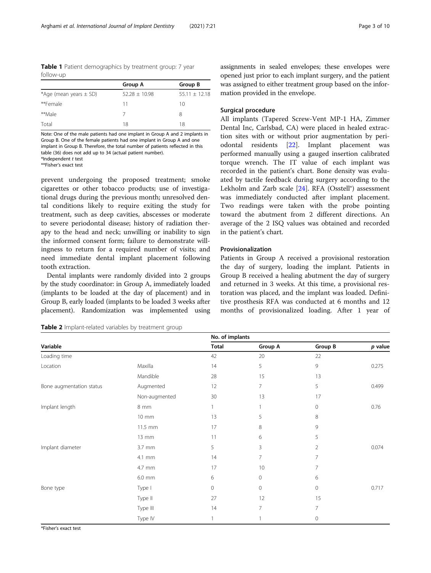<span id="page-2-0"></span>Table 1 Patient demographics by treatment group: 7 year follow-up

|                            | Group A           | Group B           |
|----------------------------|-------------------|-------------------|
| *Age (mean years $\pm$ SD) | $52.28 \pm 10.98$ | $55.11 \pm 12.18$ |
| **Female                   | 11                | 10                |
| **Male                     |                   | 8                 |
| Total                      | 18                | 18                |

Note: One of the male patients had one implant in Group A and 2 implants in Group B. One of the female patients had one implant in Group A and one implant in Group B. Therefore, the total number of patients reflected in this table (36) does not add up to 34 (actual patient number). \*Independent t test

\*\*Fisher's exact test

prevent undergoing the proposed treatment; smoke cigarettes or other tobacco products; use of investigational drugs during the previous month; unresolved dental conditions likely to require exiting the study for treatment, such as deep cavities, abscesses or moderate to severe periodontal disease; history of radiation therapy to the head and neck; unwilling or inability to sign the informed consent form; failure to demonstrate willingness to return for a required number of visits; and need immediate dental implant placement following tooth extraction.

Dental implants were randomly divided into 2 groups by the study coordinator: in Group A, immediately loaded (implants to be loaded at the day of placement) and in Group B, early loaded (implants to be loaded 3 weeks after placement). Randomization was implemented using

Table 2 Implant-related variables by treatment group

assignments in sealed envelopes; these envelopes were opened just prior to each implant surgery, and the patient was assigned to either treatment group based on the information provided in the envelope.

#### Surgical procedure

All implants (Tapered Screw-Vent MP-1 HA, Zimmer Dental Inc, Carlsbad, CA) were placed in healed extraction sites with or without prior augmentation by periodontal residents [[22\]](#page-9-0). Implant placement was performed manually using a gauged insertion calibrated torque wrench. The IT value of each implant was recorded in the patient's chart. Bone density was evaluated by tactile feedback during surgery according to the Lekholm and Zarb scale [\[24](#page-9-0)]. RFA (Osstell®) assessment was immediately conducted after implant placement. Two readings were taken with the probe pointing toward the abutment from 2 different directions. An average of the 2 ISQ values was obtained and recorded in the patient's chart.

#### Provisionalization

Patients in Group A received a provisional restoration the day of surgery, loading the implant. Patients in Group B received a healing abutment the day of surgery and returned in 3 weeks. At this time, a provisional restoration was placed, and the implant was loaded. Definitive prosthesis RFA was conducted at 6 months and 12 months of provisionalized loading. After 1 year of

|                          |               | No. of implants |                |                |           |
|--------------------------|---------------|-----------------|----------------|----------------|-----------|
| Variable                 |               | <b>Total</b>    | Group A        | Group B        | $p$ value |
| Loading time             |               | 42              | 20             | 22             |           |
| Location                 | Maxilla       | 14              | 5              | 9              | 0.275     |
|                          | Mandible      | 28              | 15             | 13             |           |
| Bone augmentation status | Augmented     | 12              | $\overline{7}$ | 5              | 0.499     |
|                          | Non-augmented | 30              | 13             | 17             |           |
| Implant length           | 8 mm          |                 |                | 0              | 0.76      |
|                          | 10 mm         | 13              | 5              | 8              |           |
|                          | 11.5 mm       | 17              | 8              | 9              |           |
|                          | 13 mm         | 11              | 6              | 5              |           |
| Implant diameter         | 3.7 mm        | 5               | 3              | $\overline{2}$ | 0.074     |
|                          | 4.1 mm        | 14              | 7              | 7              |           |
|                          | 4.7 mm        | 17              | 10             | 7              |           |
|                          | 6.0 mm        | 6               | 0              | 6              |           |
| Bone type                | Type I        | $\circ$         | 0              | 0              | 0.717     |
|                          | Type II       | 27              | 12             | 15             |           |
|                          | Type III      | 14              | $\overline{7}$ | 7              |           |
|                          | Type IV       |                 |                | $\circ$        |           |

\*Fisher's exact test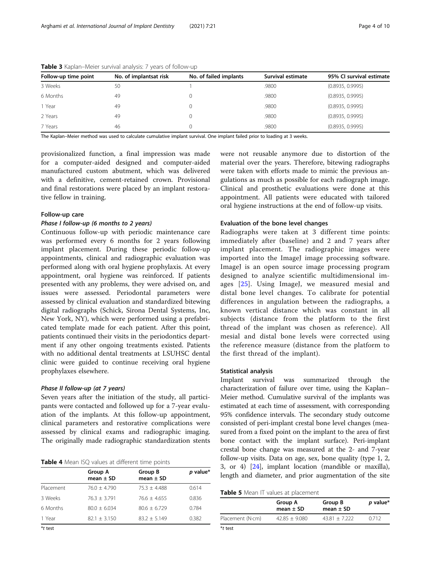| Follow-up time point | No. of implantsat risk | No. of failed implants | Survival estimate | 95% CI survival estimate |
|----------------------|------------------------|------------------------|-------------------|--------------------------|
| 3 Weeks              | 50                     |                        | .9800             | (0.8935, 0.9995)         |
| 6 Months             | 49                     |                        | .9800             | (0.8935, 0.9995)         |
| ، Year               | 49                     |                        | .9800             | (0.8935, 0.9995)         |
| 2 Years              | 49                     |                        | .9800             | (0.8935, 0.9995)         |
| 7 Years              | 46                     |                        | .9800             | (0.8935, 0.9995)         |
| .<br>.               | .                      |                        |                   |                          |

<span id="page-3-0"></span>Table 3 Kaplan–Meier survival analysis: 7 years of follow-up

The Kaplan–Meier method was used to calculate cumulative implant survival. One implant failed prior to loading at 3 weeks.

provisionalized function, a final impression was made for a computer-aided designed and computer-aided manufactured custom abutment, which was delivered with a definitive, cement-retained crown. Provisional and final restorations were placed by an implant restorative fellow in training.

#### Follow-up care

#### Phase I follow-up (6 months to 2 years)

Continuous follow-up with periodic maintenance care was performed every 6 months for 2 years following implant placement. During these periodic follow-up appointments, clinical and radiographic evaluation was performed along with oral hygiene prophylaxis. At every appointment, oral hygiene was reinforced. If patients presented with any problems, they were advised on, and issues were assessed. Periodontal parameters were assessed by clinical evaluation and standardized bitewing digital radiographs (Schick, Sirona Dental Systems, Inc, New York, NY), which were performed using a prefabricated template made for each patient. After this point, patients continued their visits in the periodontics department if any other ongoing treatments existed. Patients with no additional dental treatments at LSUHSC dental clinic were guided to continue receiving oral hygiene prophylaxes elsewhere.

#### Phase II follow-up (at 7 years)

Seven years after the initiation of the study, all participants were contacted and followed up for a 7-year evaluation of the implants. At this follow-up appointment, clinical parameters and restorative complications were assessed by clinical exams and radiographic imaging. The originally made radiographic standardization stents

|  |  |  |  | Table 4 Mean ISQ values at different time points |  |
|--|--|--|--|--------------------------------------------------|--|
|--|--|--|--|--------------------------------------------------|--|

|            | Group A<br>mean $\pm$ SD | Group B<br>mean $\pm$ SD | p value* |
|------------|--------------------------|--------------------------|----------|
| Placement  | $76.0 + 4.790$           | $75.3 + 4.488$           | 0.614    |
| 3 Weeks    | $76.3 + 3.791$           | $76.6 + 4.655$           | 0.836    |
| 6 Months   | $80.0 + 6.034$           | $80.6 + 6.729$           | 0.784    |
| 1 Year     | $82.1 + 3.150$           | $83.2 + 5.149$           | 0.382    |
| $*$ + tort |                          |                          |          |

\*t test

were not reusable anymore due to distortion of the material over the years. Therefore, bitewing radiographs were taken with efforts made to mimic the previous angulations as much as possible for each radiograph image. Clinical and prosthetic evaluations were done at this appointment. All patients were educated with tailored oral hygiene instructions at the end of follow-up visits.

#### Evaluation of the bone level changes

Radiographs were taken at 3 different time points: immediately after (baseline) and 2 and 7 years after implant placement. The radiographic images were imported into the ImageJ image processing software. ImageJ is an open source image processing program designed to analyze scientific multidimensional images [[25\]](#page-9-0). Using ImageJ, we measured mesial and distal bone level changes. To calibrate for potential differences in angulation between the radiographs, a known vertical distance which was constant in all subjects (distance from the platform to the first thread of the implant was chosen as reference). All mesial and distal bone levels were corrected using the reference measure (distance from the platform to the first thread of the implant).

#### Statistical analysis

Implant survival was summarized through the characterization of failure over time, using the Kaplan– Meier method. Cumulative survival of the implants was estimated at each time of assessment, with corresponding 95% confidence intervals. The secondary study outcome consisted of peri-implant crestal bone level changes (measured from a fixed point on the implant to the area of first bone contact with the implant surface). Peri-implant crestal bone change was measured at the 2- and 7-year follow-up visits. Data on age, sex, bone quality (type 1, 2, 3, or 4) [[24](#page-9-0)], implant location (mandible or maxilla), length and diameter, and prior augmentation of the site

Table 5 Mean IT values at placement

|                  | Group A<br>mean $\pm$ SD | Group B<br>mean $\pm$ SD | p value* |
|------------------|--------------------------|--------------------------|----------|
| Placement (N-cm) | $42.85 + 9.080$          | $43.81 + 7.222$          | 0.712    |
|                  |                          |                          |          |

\*t test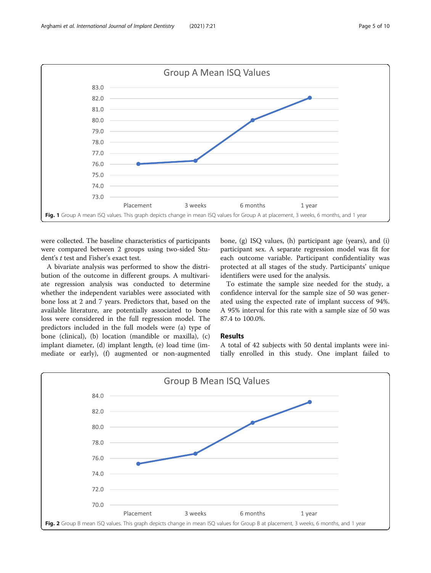<span id="page-4-0"></span>

were collected. The baseline characteristics of participants were compared between 2 groups using two-sided Student's t test and Fisher's exact test.

A bivariate analysis was performed to show the distribution of the outcome in different groups. A multivariate regression analysis was conducted to determine whether the independent variables were associated with bone loss at 2 and 7 years. Predictors that, based on the available literature, are potentially associated to bone loss were considered in the full regression model. The predictors included in the full models were (a) type of bone (clinical), (b) location (mandible or maxilla), (c) implant diameter, (d) implant length, (e) load time (immediate or early), (f) augmented or non-augmented

bone, (g) ISQ values, (h) participant age (years), and (i) participant sex. A separate regression model was fit for each outcome variable. Participant confidentiality was protected at all stages of the study. Participants' unique identifiers were used for the analysis.

To estimate the sample size needed for the study, a confidence interval for the sample size of 50 was generated using the expected rate of implant success of 94%. A 95% interval for this rate with a sample size of 50 was 87.4 to 100.0%.

#### Results

A total of 42 subjects with 50 dental implants were initially enrolled in this study. One implant failed to

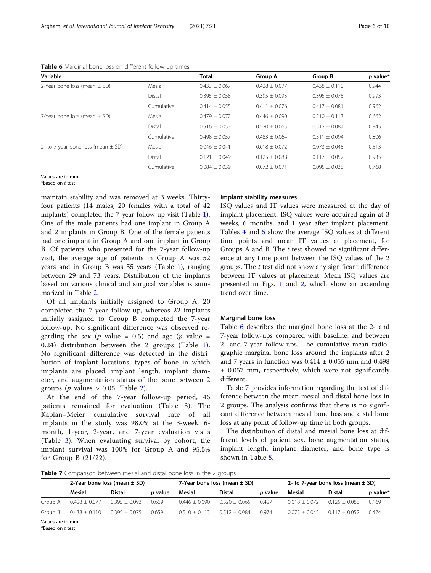| <b>I WINTED</b> IT IN INTERNATIONAL TO JULIO 11 UNITED TO THE TOTAL THE CITILED |            |                   |                   |                   |                      |
|---------------------------------------------------------------------------------|------------|-------------------|-------------------|-------------------|----------------------|
| Variable                                                                        |            | Total             | Group A           | Group B           | p value <sup>*</sup> |
| 2-Year bone loss (mean $\pm$ SD)                                                | Mesial     | $0.433 \pm 0.067$ | $0.428 \pm 0.077$ | $0.438 \pm 0.110$ | 0.944                |
|                                                                                 | Distal     | $0.395 \pm 0.058$ | $0.395 + 0.093$   | $0.395 + 0.075$   | 0.993                |
|                                                                                 | Cumulative | $0.414 \pm 0.055$ | $0.411 \pm 0.076$ | $0.417 \pm 0.081$ | 0.962                |
| 7-Year bone loss (mean $\pm$ SD)                                                | Mesial     | $0.479 \pm 0.072$ | $0.446 + 0.090$   | $0.510 \pm 0.113$ | 0.662                |
|                                                                                 | Distal     | $0.516 + 0.053$   | $0.520 + 0.065$   | $0.512 + 0.084$   | 0.945                |
|                                                                                 | Cumulative | $0.498 \pm 0.057$ | $0.483 \pm 0.064$ | $0.511 + 0.094$   | 0.806                |
| 2- to 7-year bone loss (mean $\pm$ SD)                                          | Mesial     | $0.046 \pm 0.041$ | $0.018 \pm 0.072$ | $0.073 + 0.045$   | 0.513                |
|                                                                                 | Distal     | $0.121 + 0.049$   | $0.125 + 0.088$   | $0.117 + 0.052$   | 0.935                |
|                                                                                 | Cumulative | $0.084 + 0.039$   | $0.072 + 0.071$   | $0.095 + 0.038$   | 0.768                |
|                                                                                 |            |                   |                   |                   |                      |

Table 6 Marginal bone loss on different follow-up times

Values are in mm. \*Based on t test

maintain stability and was removed at 3 weeks. Thirtyfour patients (14 males, 20 females with a total of 42 implants) completed the 7-year follow-up visit (Table [1](#page-2-0)). One of the male patients had one implant in Group A and 2 implants in Group B. One of the female patients had one implant in Group A and one implant in Group B. Of patients who presented for the 7-year follow-up visit, the average age of patients in Group A was 52 years and in Group B was 55 years (Table [1\)](#page-2-0), ranging between 29 and 73 years. Distribution of the implants based on various clinical and surgical variables is summarized in Table [2](#page-2-0).

Of all implants initially assigned to Group A, 20 completed the 7-year follow-up, whereas 22 implants initially assigned to Group B completed the 7-year follow-up. No significant difference was observed regarding the sex (p value = 0.5) and age (p value = 0.24) distribution between the 2 groups (Table [1](#page-2-0)). No significant difference was detected in the distribution of implant locations, types of bone in which implants are placed, implant length, implant diameter, and augmentation status of the bone between 2 groups ( $p$  values  $> 0.05$ , Table [2](#page-2-0)).

At the end of the 7-year follow-up period, 46 patients remained for evaluation (Table [3\)](#page-3-0). The Kaplan–Meier cumulative survival rate of all implants in the study was 98.0% at the 3-week, 6 month, 1-year, 2-year, and 7-year evaluation visits (Table [3\)](#page-3-0). When evaluating survival by cohort, the implant survival was 100% for Group A and 95.5% for Group B (21/22).

#### Implant stability measures

ISQ values and IT values were measured at the day of implant placement. ISQ values were acquired again at 3 weeks, 6 months, and 1 year after implant placement. Tables [4](#page-3-0) and [5](#page-3-0) show the average ISQ values at different time points and mean IT values at placement, for Groups A and B. The  $t$  test showed no significant difference at any time point between the ISQ values of the 2 groups. The  $t$  test did not show any significant difference between IT values at placement. Mean ISQ values are presented in Figs. [1](#page-4-0) and [2,](#page-4-0) which show an ascending trend over time.

#### Marginal bone loss

Table 6 describes the marginal bone loss at the 2- and 7-year follow-ups compared with baseline, and between 2- and 7-year follow-ups. The cumulative mean radiographic marginal bone loss around the implants after 2 and 7 years in function was  $0.414 \pm 0.055$  mm and  $0.498$ ± 0.057 mm, respectively, which were not significantly different.

Table 7 provides information regarding the test of difference between the mean mesial and distal bone loss in 2 groups. The analysis confirms that there is no significant difference between mesial bone loss and distal bone loss at any point of follow-up time in both groups.

The distribution of distal and mesial bone loss at different levels of patient sex, bone augmentation status, implant length, implant diameter, and bone type is shown in Table [8.](#page-6-0)

Table 7 Comparison between mesial and distal bone loss in the 2 groups

|         | 2-Year bone loss (mean $\pm$ SD) |                   | 7-Year bone loss (mean $\pm$ SD) |                 |                 | 2- to 7-year bone loss (mean $\pm$ SD) |                 |                 |          |
|---------|----------------------------------|-------------------|----------------------------------|-----------------|-----------------|----------------------------------------|-----------------|-----------------|----------|
|         | Mesial                           | <b>Distal</b>     | <i>p</i> value                   | Mesial          | <b>Distal</b>   | <i>p</i> value                         | Mesial          | <b>Distal</b>   | p value* |
| Group A | $0.428 + 0.077$                  | $0.395 + 0.093$   | 0.669                            | $0.446 + 0.090$ | $0.520 + 0.065$ | 0.427                                  | $0.018 + 0.072$ | $0.125 + 0.088$ | 0.169    |
| Group B | $0.438 \pm 0.110$                | $0.395 \pm 0.075$ | 0.659                            | $0.510 + 0.113$ | $0.512 + 0.084$ | 0.974                                  | $0.073 + 0.045$ | $0117 + 0052$   | 0.474    |

Values are in mm.

\*Based on t test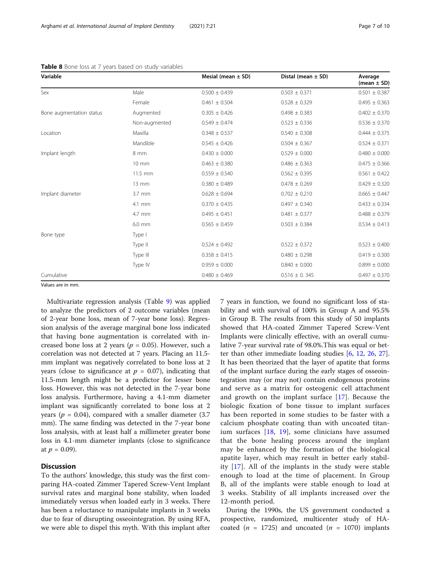| Variable                 |                   | Mesial (mean $\pm$ SD) | Distal (mean $\pm$ SD) | Average<br>(mean $\pm$ SD) |
|--------------------------|-------------------|------------------------|------------------------|----------------------------|
| Sex                      | Male              | $0.500 \pm 0.439$      | $0.503 \pm 0.371$      | $0.501 \pm 0.387$          |
|                          | Female            | $0.461 \pm 0.504$      | $0.528 \pm 0.329$      | $0.495 \pm 0.363$          |
| Bone augmentation status | Augmented         | $0.305 \pm 0.426$      | $0.498 \pm 0.383$      | $0.402 \pm 0.370$          |
|                          | Non-augmented     | $0.549 \pm 0.474$      | $0.523 \pm 0.336$      | $0.536 \pm 0.370$          |
| Location                 | Maxilla           | $0.348 \pm 0.537$      | $0.540 \pm 0.308$      | $0.444 \pm 0.375$          |
|                          | Mandible          | $0.545 \pm 0.426$      | $0.504 \pm 0.367$      | $0.524 \pm 0.371$          |
| Implant length           | 8 mm              | $0.430 \pm 0.000$      | $0.529 \pm 0.000$      | $0.480 \pm 0.000$          |
|                          | $10 \text{ mm}$   | $0.463 \pm 0.380$      | $0.486 \pm 0.363$      | $0.475 \pm 0.366$          |
|                          | $11.5$ mm         | $0.559 \pm 0.540$      | $0.562 \pm 0.395$      | $0.561 \pm 0.422$          |
|                          | $13 \, \text{mm}$ | $0.380 \pm 0.489$      | $0.478 \pm 0.269$      | $0.429 \pm 0.320$          |
| Implant diameter         | $3.7 \text{ mm}$  | $0.628 \pm 0.694$      | $0.702 \pm 0.210$      | $0.665 \pm 0.447$          |
|                          | 4.1 mm            | $0.370 \pm 0.435$      | $0.497 \pm 0.340$      | $0.433 \pm 0.334$          |
|                          | 4.7 mm            | $0.495 \pm 0.451$      | $0.481 \pm 0.377$      | $0.488 \pm 0.379$          |
|                          | 6.0 mm            | $0.565 \pm 0.459$      | $0.503 \pm 0.384$      | $0.534 \pm 0.413$          |
| Bone type                | Type I            |                        |                        |                            |
|                          | Type II           | $0.524 \pm 0.492$      | $0.522 \pm 0.372$      | $0.523 \pm 0.400$          |
|                          | Type III          | $0.358 \pm 0.415$      | $0.480 \pm 0.298$      | $0.419 \pm 0.300$          |
|                          | Type IV           | $0.959 \pm 0.000$      | $0.840 \pm 0.000$      | $0.899 \pm 0.000$          |
| Cumulative               |                   | $0.480 \pm 0.469$      | $0.516 \pm 0.345$      | $0.497 \pm 0.370$          |

<span id="page-6-0"></span>Table 8 Bone loss at 7 years based on study variables

Values are in mm.

Multivariate regression analysis (Table [9\)](#page-7-0) was applied to analyze the predictors of 2 outcome variables (mean of 2-year bone loss, mean of 7-year bone loss). Regression analysis of the average marginal bone loss indicated that having bone augmentation is correlated with increased bone loss at 2 years ( $p = 0.05$ ). However, such a correlation was not detected at 7 years. Placing an 11.5 mm implant was negatively correlated to bone loss at 2 years (close to significance at  $p = 0.07$ ), indicating that 11.5-mm length might be a predictor for lesser bone loss. However, this was not detected in the 7-year bone loss analysis. Furthermore, having a 4.1-mm diameter implant was significantly correlated to bone loss at 2 years ( $p = 0.04$ ), compared with a smaller diameter (3.7) mm). The same finding was detected in the 7-year bone loss analysis, with at least half a millimeter greater bone loss in 4.1-mm diameter implants (close to significance at  $p = 0.09$ ).

### **Discussion**

To the authors' knowledge, this study was the first comparing HA-coated Zimmer Tapered Screw-Vent Implant survival rates and marginal bone stability, when loaded immediately versus when loaded early in 3 weeks. There has been a reluctance to manipulate implants in 3 weeks due to fear of disrupting osseointegration. By using RFA, we were able to dispel this myth. With this implant after

7 years in function, we found no significant loss of stability and with survival of 100% in Group A and 95.5% in Group B. The results from this study of 50 implants showed that HA-coated Zimmer Tapered Screw-Vent Implants were clinically effective, with an overall cumulative 7-year survival rate of 98.0%.This was equal or better than other immediate loading studies [[6,](#page-8-0) [12](#page-8-0), [26,](#page-9-0) [27](#page-9-0)]. It has been theorized that the layer of apatite that forms of the implant surface during the early stages of osseointegration may (or may not) contain endogenous proteins and serve as a matrix for osteogenic cell attachment and growth on the implant surface [[17](#page-9-0)]. Because the biologic fixation of bone tissue to implant surfaces has been reported in some studies to be faster with a calcium phosphate coating than with uncoated titanium surfaces [\[18,](#page-9-0) [19\]](#page-9-0), some clinicians have assumed that the bone healing process around the implant may be enhanced by the formation of the biological apatite layer, which may result in better early stability [[17](#page-9-0)]. All of the implants in the study were stable enough to load at the time of placement. In Group B, all of the implants were stable enough to load at 3 weeks. Stability of all implants increased over the 12-month period.

During the 1990s, the US government conducted a prospective, randomized, multicenter study of HAcoated ( $n = 1725$ ) and uncoated ( $n = 1070$ ) implants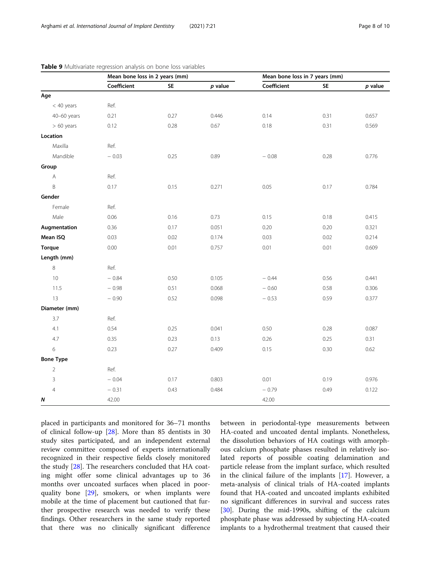|                  | Mean bone loss in 2 years (mm) |           |           | Mean bone loss in 7 years (mm) |           |           |
|------------------|--------------------------------|-----------|-----------|--------------------------------|-----------|-----------|
|                  | Coefficient                    | <b>SE</b> | $p$ value | Coefficient                    | <b>SE</b> | $p$ value |
| Age              |                                |           |           |                                |           |           |
| $<$ 40 years     | Ref.                           |           |           |                                |           |           |
| 40-60 years      | 0.21                           | 0.27      | 0.446     | 0.14                           | 0.31      | 0.657     |
| $> 60$ years     | 0.12                           | 0.28      | 0.67      | 0.18                           | 0.31      | 0.569     |
| Location         |                                |           |           |                                |           |           |
| Maxilla          | Ref.                           |           |           |                                |           |           |
| Mandible         | $-0.03$                        | 0.25      | 0.89      | $-0.08$                        | 0.28      | 0.776     |
| Group            |                                |           |           |                                |           |           |
| Α                | Ref.                           |           |           |                                |           |           |
| B                | 0.17                           | 0.15      | 0.271     | 0.05                           | 0.17      | 0.784     |
| Gender           |                                |           |           |                                |           |           |
| Female           | Ref.                           |           |           |                                |           |           |
| Male             | 0.06                           | 0.16      | 0.73      | 0.15                           | 0.18      | 0.415     |
| Augmentation     | 0.36                           | 0.17      | 0.051     | 0.20                           | 0.20      | 0.321     |
| Mean ISQ         | 0.03                           | 0.02      | 0.174     | 0.03                           | 0.02      | 0.214     |
| Torque           | 0.00                           | 0.01      | 0.757     | 0.01                           | 0.01      | 0.609     |
| Length (mm)      |                                |           |           |                                |           |           |
| 8                | Ref.                           |           |           |                                |           |           |
| 10               | $-0.84$                        | 0.50      | 0.105     | $-0.44$                        | 0.56      | 0.441     |
| 11.5             | $-0.98$                        | 0.51      | 0.068     | $-0.60$                        | 0.58      | 0.306     |
| 13               | $-0.90$                        | 0.52      | 0.098     | $-0.53$                        | 0.59      | 0.377     |
| Diameter (mm)    |                                |           |           |                                |           |           |
| 3.7              | Ref.                           |           |           |                                |           |           |
| 4.1              | 0.54                           | 0.25      | 0.041     | 0.50                           | 0.28      | 0.087     |
| 4.7              | 0.35                           | 0.23      | 0.13      | 0.26                           | 0.25      | 0.31      |
| 6                | 0.23                           | 0.27      | 0.409     | 0.15                           | 0.30      | 0.62      |
| <b>Bone Type</b> |                                |           |           |                                |           |           |
| $\overline{2}$   | Ref.                           |           |           |                                |           |           |
| 3                | $-0.04$                        | 0.17      | 0.803     | 0.01                           | 0.19      | 0.976     |
| $\overline{4}$   | $-0.31$                        | 0.43      | 0.484     | $-0.79$                        | 0.49      | 0.122     |
| Ν                | 42.00                          |           |           | 42.00                          |           |           |

<span id="page-7-0"></span>

placed in participants and monitored for 36–71 months of clinical follow-up [\[28\]](#page-9-0). More than 85 dentists in 30 study sites participated, and an independent external review committee composed of experts internationally recognized in their respective fields closely monitored the study [[28\]](#page-9-0). The researchers concluded that HA coating might offer some clinical advantages up to 36 months over uncoated surfaces when placed in poorquality bone [[29\]](#page-9-0), smokers, or when implants were mobile at the time of placement but cautioned that further prospective research was needed to verify these findings. Other researchers in the same study reported that there was no clinically significant difference between in periodontal-type measurements between HA-coated and uncoated dental implants. Nonetheless, the dissolution behaviors of HA coatings with amorphous calcium phosphate phases resulted in relatively isolated reports of possible coating delamination and particle release from the implant surface, which resulted in the clinical failure of the implants [\[17](#page-9-0)]. However, a meta-analysis of clinical trials of HA-coated implants found that HA-coated and uncoated implants exhibited no significant differences in survival and success rates [[30\]](#page-9-0). During the mid-1990s, shifting of the calcium phosphate phase was addressed by subjecting HA-coated implants to a hydrothermal treatment that caused their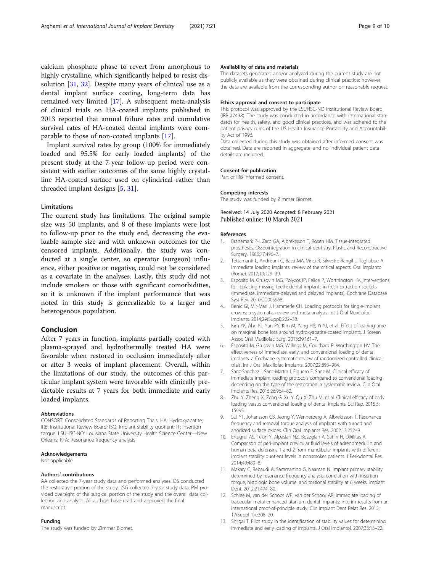<span id="page-8-0"></span>calcium phosphate phase to revert from amorphous to highly crystalline, which significantly helped to resist dissolution [\[31](#page-9-0), [32](#page-9-0)]. Despite many years of clinical use as a dental implant surface coating, long-term data has remained very limited [[17](#page-9-0)]. A subsequent meta-analysis of clinical trials on HA-coated implants published in 2013 reported that annual failure rates and cumulative survival rates of HA-coated dental implants were comparable to those of non-coated implants [[17\]](#page-9-0).

Implant survival rates by group (100% for immediately loaded and 95.5% for early loaded implants) of the present study at the 7-year follow-up period were consistent with earlier outcomes of the same highly crystalline HA-coated surface used on cylindrical rather than threaded implant designs [5, [31\]](#page-9-0).

#### Limitations

The current study has limitations. The original sample size was 50 implants, and 8 of these implants were lost to follow-up prior to the study end, decreasing the evaluable sample size and with unknown outcomes for the censored implants. Additionally, the study was conducted at a single center, so operator (surgeon) influence, either positive or negative, could not be considered as a covariate in the analyses. Lastly, this study did not include smokers or those with significant comorbidities, so it is unknown if the implant performance that was noted in this study is generalizable to a larger and heterogenous population.

### Conclusion

After 7 years in function, implants partially coated with plasma-sprayed and hydrothermally treated HA were favorable when restored in occlusion immediately after or after 3 weeks of implant placement. Overall, within the limitations of our study, the outcomes of this particular implant system were favorable with clinically predictable results at 7 years for both immediate and early loaded implants.

#### Abbreviations

CONSORT: Consolidated Standards of Reporting Trials; HA: Hydroxyapatite; IRB: Institutional Review Board; ISQ: Implant stability quotient; IT: Insertion torque; LSUHSC-NO: Louisiana State University Health Science Center—New Orleans; RFA: Resonance frequency analysis

#### Acknowledgements

Not applicable

#### Authors' contributions

AA collected the 7-year study data and performed analyses. DS conducted the restorative portion of the study. JSG collected 7-year study data. PM provided oversight of the surgical portion of the study and the overall data collection and analysis. All authors have read and approved the final manuscript.

#### Funding

The study was funded by Zimmer Biomet.

#### Availability of data and materials

The datasets generated and/or analyzed during the current study are not publicly available as they were obtained during clinical practice; however, the data are available from the corresponding author on reasonable request.

#### Ethics approval and consent to participate

This protocol was approved by the LSUHSC-NO Institutional Review Board (IRB #7438). The study was conducted in accordance with international standards for health, safety, and good clinical practices, and was adhered to the patient privacy rules of the US Health Insurance Portability and Accountability Act of 1996.

Data collected during this study was obtained after informed consent was obtained. Data are reported in aggregate, and no individual patient data details are included.

#### Consent for publication

Part of IRB informed consent.

#### Competing interests

The study was funded by Zimmer Biomet.

Received: 14 July 2020 Accepted: 8 February 2021 Published online: 10 March 2021

#### References

- 1. Branemark P-I, Zarb GA, Albrektsson T, Rosen HM. Tissue-integrated prostheses. Osseointegration in clinical dentistry. Plastic and Reconstructive Surgery. 1986;77:496–7.
- 2. Tettamanti L, Andrisani C, Bassi MA, Vinci R, Silvestre-Rangil J, Tagliabue A. Immediate loading implants: review of the critical aspects. Oral Implantol (Rome). 2017;10:129–39.
- 3. Esposito M, Grusovin MG, Polyzos IP, Felice P, Worthington HV. Interventions for replacing missing teeth: dental implants in fresh extraction sockets (immediate, immediate-delayed and delayed implants). Cochrane Database Syst Rev. 2010:CD005968.
- 4. Benic GI, Mir-Mari J, Hammerle CH. Loading protocols for single-implant crowns: a systematic review and meta-analysis. Int J Oral Maxillofac Implants. 2014;29(Suppl):222–38.
- 5. Kim YK, Ahn KJ, Yun PY, Kim M, Yang HS, Yi YJ, et al. Effect of loading time on marginal bone loss around hydroxyapatite-coated implants. J Korean Assoc Oral Maxillofac Surg. 2013;39:161–7.
- 6. Esposito M, Grusovin MG, Willings M, Coulthard P, Worthington HV. The effectiveness of immediate, early, and conventional loading of dental implants: a Cochrane systematic review of randomized controlled clinical trials. Int J Oral Maxillofac Implants. 2007;22:893–904.
- 7. Sanz-Sanchez I, Sanz-Martin I, Figuero E, Sanz M. Clinical efficacy of immediate implant loading protocols compared to conventional loading depending on the type of the restoration: a systematic review. Clin Oral Implants Res. 2015;26:964–82.
- 8. Zhu Y, Zheng X, Zeng G, Xu Y, Qu X, Zhu M, et al. Clinical efficacy of early loading versus conventional loading of dental implants. Sci Rep. 2015;5: 15995.
- 9. Sul YT, Johansson CB, Jeong Y, Wennerberg A, Albrektsson T. Resonance frequency and removal torque analysis of implants with turned and anodized surface oxides. Clin Oral Implants Res. 2002;13:252–9.
- 10. Ertugrul AS, Tekin Y, Alpaslan NZ, Bozoglan A, Sahin H, Dikilitas A. Comparison of peri-implant crevicular fluid levels of adrenomedullin and human beta defensins 1 and 2 from mandibular implants with different implant stability quotient levels in nonsmoker patients. J Periodontal Res. 2014;49:480–8.
- 11. Makary C, Rebaudi A, Sammartino G, Naaman N. Implant primary stability determined by resonance frequency analysis: correlation with insertion torque, histologic bone volume, and torsional stability at 6 weeks. Implant Dent. 2012;21:474–80.
- 12. Schlee M, van der Schoor WP, van der Schoor AR. Immediate loading of trabecular metal-enhanced titanium dental implants: interim results from an international proof-of-principle study. Clin Implant Dent Relat Res. 2015; 17(Suppl 1):e308–20.
- 13. Shiigai T. Pilot study in the identification of stability values for determining immediate and early loading of implants. J Oral Implantol. 2007;33:13–22.